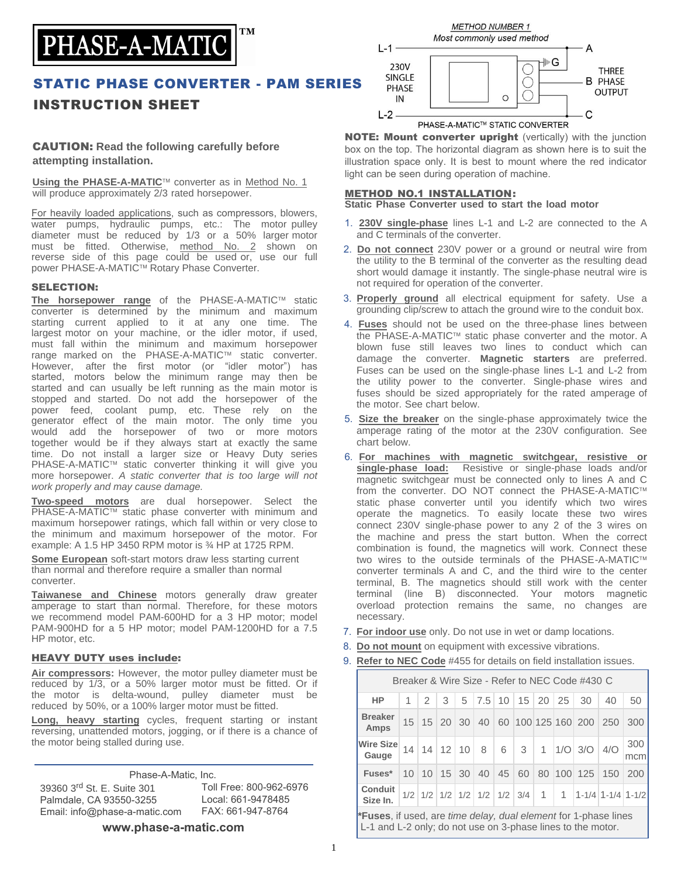

## STATIC PHASE CONVERTER - PAM SERIES INSTRUCTION SHEET

## CAUTION: **Read the following carefully before attempting installation.**

**Using the PHASE-A-MATIC™** converter as in Method No. 1 will produce approximately 2/3 rated horsepower.

For heavily loaded applications, such as compressors, blowers, water pumps, hydraulic pumps, etc.: The motor pulley diameter must be reduced by 1/3 or a 50% larger motor must be fitted. Otherwise, method No. 2 shown on reverse side of this page could be used or, use our full power PHASE-A-MATIC™ Rotary Phase Converter.

### SELECTION:

The horsepower range of the PHASE-A-MATIC™ static converter is determined by the minimum and maximum starting current applied to it at any one time. The largest motor on your machine, or the idler motor, if used, must fall within the minimum and maximum horsepower range marked on the PHASE-A-MATIC™ static converter. However, after the first motor (or "idler motor") has started, motors below the minimum range may then be started and can usually be left running as the main motor is stopped and started. Do not add the horsepower of the power feed, coolant pump, etc. These rely on the generator effect of the main motor. The only time you would add the horsepower of two or more motors together would be if they always start at exactly the same time. Do not install a larger size or Heavy Duty series PHASE-A-MATIC™ static converter thinking it will give you more horsepower. *A static converter that is too large will not work properly and may cause damage.* 

**Two-speed motors** are dual horsepower. Select the PHASE-A-MATIC™ static phase converter with minimum and maximum horsepower ratings, which fall within or very close to the minimum and maximum horsepower of the motor. For example: A 1.5 HP 3450 RPM motor is ¾ HP at 1725 RPM.

**Some European** soft-start motors draw less starting current than normal and therefore require a smaller than normal converter.

**Taiwanese and Chinese** motors generally draw greater amperage to start than normal. Therefore, for these motors we recommend model PAM-600HD for a 3 HP motor; model PAM-900HD for a 5 HP motor; model PAM-1200HD for a 7.5 HP motor, etc.

#### HEAVY DUTY uses include:

39360 3<sup>rd</sup> St. E. Suite 301

Palmdale, CA 93550-3255

Email: info@phase-a-matic.com

**Air compressors:** However, the motor pulley diameter must be reduced by 1/3, or a 50% larger motor must be fitted. Or if the motor is delta-wound, pulley diameter must be reduced by 50%, or a 100% larger motor must be fitted.

**Long, heavy starting** cycles, frequent starting or instant reversing, unattended motors, jogging, or if there is a chance of the motor being stalled during use.

Phase-A-Matic, Inc.

Toll Free: 800-962-6976 Local: 661-9478485 FAX: 661-947-8764

**www.phase-a-matic.com**



NOTE: Mount converter upright (vertically) with the junction box on the top. The horizontal diagram as shown here is to suit the illustration space only. It is best to mount where the red indicator light can be seen during operation of machine.

### METHOD NO.1 INSTALLATION:

**Static Phase Converter used to start the load motor** 

- 1. **230V single-phase** lines L-1 and L-2 are connected to the A and C terminals of the converter.
- 2. **Do not connect** 230V power or a ground or neutral wire from the utility to the B terminal of the converter as the resulting dead short would damage it instantly. The single-phase neutral wire is not required for operation of the converter.
- 3. **Properly ground** all electrical equipment for safety. Use a grounding clip/screw to attach the ground wire to the conduit box.
- 4. **Fuses** should not be used on the three-phase lines between the PHASE-A-MATIC™ static phase converter and the motor. A blown fuse still leaves two lines to conduct which can damage the converter. **Magnetic starters** are preferred. Fuses can be used on the single-phase lines L-1 and L-2 from the utility power to the converter. Single-phase wires and fuses should be sized appropriately for the rated amperage of the motor. See chart below.
- 5. **Size the breaker** on the single-phase approximately twice the amperage rating of the motor at the 230V configuration. See chart below.
- 6. **For machines with magnetic switchgear, resistive or single-phase load:** Resistive or single-phase loads and/or magnetic switchgear must be connected only to lines A and C from the converter. DO NOT connect the PHASE-A-MATIC™ static phase converter until you identify which two wires operate the magnetics. To easily locate these two wires connect 230V single-phase power to any 2 of the 3 wires on the machine and press the start button. When the correct combination is found, the magnetics will work. Connect these two wires to the outside terminals of the PHASE-A-MATIC converter terminals A and C, and the third wire to the center terminal, B. The magnetics should still work with the center terminal (line B) disconnected. Your motors magnetic overload protection remains the same, no changes are necessary.
- 7. **For indoor use** only. Do not use in wet or damp locations.
- 8. **Do not mount** on equipment with excessive vibrations.
- 9. **Refer to NEC Code** #455 for details on field installation issues.

| Breaker & Wire Size - Refer to NEC Code #430 C                                 |  |               |               |  |                                      |  |                                              |  |  |                                     |     |                                                                                                 |
|--------------------------------------------------------------------------------|--|---------------|---------------|--|--------------------------------------|--|----------------------------------------------|--|--|-------------------------------------|-----|-------------------------------------------------------------------------------------------------|
| <b>HP</b>                                                                      |  | $\mathcal{P}$ | $\mathcal{S}$ |  |                                      |  | $5 \mid 7.5 \mid 10 \mid 15 \mid 20 \mid 25$ |  |  | 30                                  | 40  | 50                                                                                              |
| <b>Breaker</b><br>Amps                                                         |  |               |               |  | $15 \mid 15 \mid 20 \mid 30 \mid 40$ |  |                                              |  |  | 60 100 125 160 200                  | 250 | 300                                                                                             |
| Wire Size<br>Gauge                                                             |  |               |               |  |                                      |  | 14 14 12 10 8 6 3                            |  |  | 1   $1/O$   $3/O$   $4/O$           |     | 300<br>mcm                                                                                      |
| Fuses*                                                                         |  |               |               |  |                                      |  |                                              |  |  | 10 10 15 30 40 45 60 80 100 125 150 |     | 200                                                                                             |
| <b>Conduit</b><br>Size In.                                                     |  |               |               |  |                                      |  |                                              |  |  |                                     |     | $1/2$   $1/2$   $1/2$   $1/2$   $1/2$   $1/2$   $3/4$   $1$   $1$   $1-1/4$   $1-1/4$   $1-1/2$ |
| <b>*Fuses</b> , if used, are <i>time delay, dual element</i> for 1-phase lines |  |               |               |  |                                      |  |                                              |  |  |                                     |     |                                                                                                 |

L-1 and L-2 only; do not use on 3-phase lines to the motor.